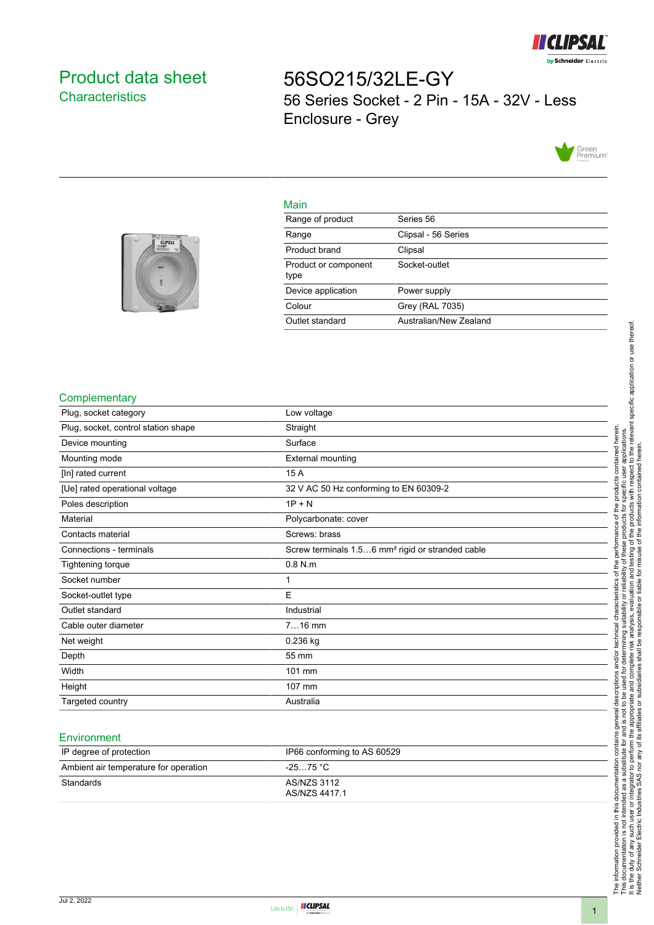

# <span id="page-0-0"></span>Product data sheet **Characteristics**

56SO215/32LE-GY 56 Series Socket - 2 Pin - 15A - 32V - Less Enclosure - Grey



## Main

| <b>HEILIPPERSON</b><br><b>CLIPSAL</b> |  |
|---------------------------------------|--|
|                                       |  |
|                                       |  |

| Range of product             | Series 56              |
|------------------------------|------------------------|
| Range                        | Clipsal - 56 Series    |
| Product brand                | Clipsal                |
| Product or component<br>type | Socket-outlet          |
| Device application           | Power supply           |
| Colour                       | Grey (RAL 7035)        |
| Outlet standard              | Australian/New Zealand |
|                              |                        |

#### **Complementary**

| Plug, socket category               | Low voltage                                                  |
|-------------------------------------|--------------------------------------------------------------|
| Plug, socket, control station shape | Straight                                                     |
| Device mounting                     | Surface                                                      |
| Mounting mode                       | External mounting                                            |
| [In] rated current                  | 15 A                                                         |
| [Ue] rated operational voltage      | 32 V AC 50 Hz conforming to EN 60309-2                       |
| Poles description                   | $1P + N$                                                     |
| Material                            | Polycarbonate: cover                                         |
| Contacts material                   | Screws: brass                                                |
| Connections - terminals             | Screw terminals 1.56 mm <sup>2</sup> rigid or stranded cable |
| <b>Tightening torque</b>            | $0.8$ N.m                                                    |
| Socket number                       |                                                              |
| Socket-outlet type                  | E                                                            |
| Outlet standard                     | Industrial                                                   |
| Cable outer diameter                | $716$ mm                                                     |
| Net weight                          | $0.236$ kg                                                   |
| Depth                               | 55 mm                                                        |
| Width                               | 101 mm                                                       |
| Height                              | 107 mm                                                       |
| Targeted country                    | Australia                                                    |
|                                     |                                                              |

#### **Environment**

| IP degree of protection               | IP66 conforming to AS 60529  |
|---------------------------------------|------------------------------|
| Ambient air temperature for operation | -25…75 °C                    |
| Standards                             | AS/NZS 3112<br>AS/NZS 4417.1 |